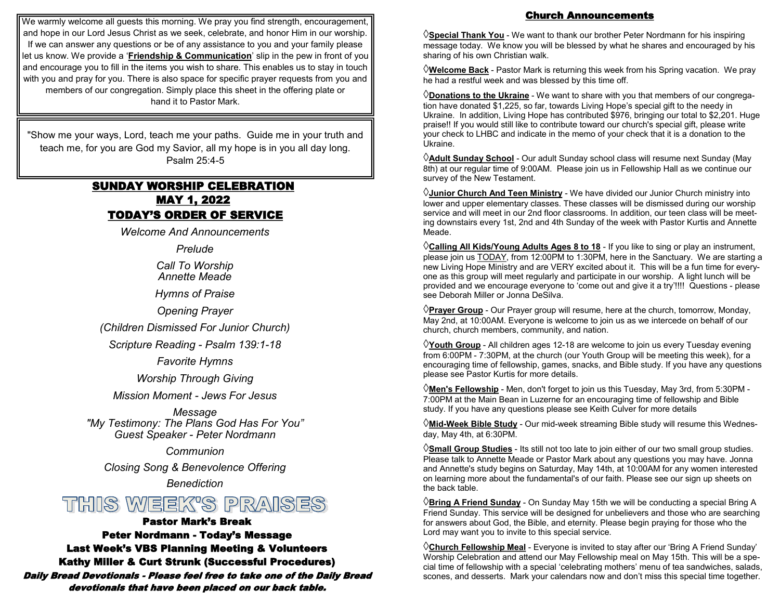We warmly welcome all guests this morning. We pray you find strength, encouragement, and hope in our Lord Jesus Christ as we seek, celebrate, and honor Him in our worship. If we can answer any questions or be of any assistance to you and your family please let us know. We provide a '**Friendship & Communication**' slip in the pew in front of you and encourage you to fill in the items you wish to share. This enables us to stay in touch with you and pray for you. There is also space for specific prayer requests from you and members of our congregation. Simply place this sheet in the offering plate or hand it to Pastor Mark.

"Show me your ways, Lord, teach me your paths. Guide me in your truth and teach me, for you are God my Savior, all my hope is in you all day long. Psalm 25:4-5

## SUNDAY WORSHIP CELEBRATION MAY 1, 2022 TODAY'S ORDER OF SERVICE

*Welcome And Announcements*

*Prelude*

*Call To Worship Annette Meade*

*Hymns of Praise*

*Opening Prayer*

*(Children Dismissed For Junior Church)*

*Scripture Reading - Psalm 139:1-18*

*Favorite Hymns*

*Worship Through Giving*

*Mission Moment - Jews For Jesus*

*Message "My Testimony: The Plans God Has For You" Guest Speaker - Peter Nordmann* 

*Communion*

*Closing Song & Benevolence Offering*

*Benediction*

# THIS WEEK'S PRAISES

#### Pastor Mark's Break

Peter Nordmann - Today's Message Last Week's VBS Planning Meeting & Volunteers Kathy Miller & Curt Strunk (Successful Procedures) Daily Bread Devotionals - Please feel free to take one of the Daily Bread devotionals that have been placed on our back table.

### Church Announcements

**Special Thank You** - We want to thank our brother Peter Nordmann for his inspiring message today. We know you will be blessed by what he shares and encouraged by his sharing of his own Christian walk.

**Welcome Back** - Pastor Mark is returning this week from his Spring vacation. We pray he had a restful week and was blessed by this time off.

**Donations to the Ukraine** - We want to share with you that members of our congregation have donated \$1,225, so far, towards Living Hope's special gift to the needy in Ukraine. In addition, Living Hope has contributed \$976, bringing our total to \$2,201. Huge praise!! If you would still like to contribute toward our church's special gift, please write your check to LHBC and indicate in the memo of your check that it is a donation to the Ukraine.

**Adult Sunday School** - Our adult Sunday school class will resume next Sunday (May 8th) at our regular time of 9:00AM. Please join us in Fellowship Hall as we continue our survey of the New Testament.

**Junior Church And Teen Ministry** - We have divided our Junior Church ministry into lower and upper elementary classes. These classes will be dismissed during our worship service and will meet in our 2nd floor classrooms. In addition, our teen class will be meeting downstairs every 1st, 2nd and 4th Sunday of the week with Pastor Kurtis and Annette Meade.

**Calling All Kids/Young Adults Ages 8 to 18** - If you like to sing or play an instrument, please join us **TODAY**, from 12:00PM to 1:30PM, here in the Sanctuary. We are starting a new Living Hope Ministry and are VERY excited about it. This will be a fun time for everyone as this group will meet regularly and participate in our worship. A light lunch will be provided and we encourage everyone to 'come out and give it a try'!!!! Questions - please see Deborah Miller or Jonna DeSilva.

**Prayer Group** - Our Prayer group will resume, here at the church, tomorrow, Monday, May 2nd, at 10:00AM. Everyone is welcome to join us as we intercede on behalf of our church, church members, community, and nation.

**Youth Group** - All children ages 12-18 are welcome to join us every Tuesday evening from 6:00PM - 7:30PM, at the church (our Youth Group will be meeting this week), for a encouraging time of fellowship, games, snacks, and Bible study. If you have any questions please see Pastor Kurtis for more details.

**Men's Fellowship** - Men, don't forget to join us this Tuesday, May 3rd, from 5:30PM - 7:00PM at the Main Bean in Luzerne for an encouraging time of fellowship and Bible study. If you have any questions please see Keith Culver for more details

**Mid-Week Bible Study** - Our mid-week streaming Bible study will resume this Wednesday, May 4th, at 6:30PM.

**Small Group Studies** - Its still not too late to join either of our two small group studies. Please talk to Annette Meade or Pastor Mark about any questions you may have. Jonna and Annette's study begins on Saturday, May 14th, at 10:00AM for any women interested on learning more about the fundamental's of our faith. Please see our sign up sheets on the back table.

**Bring A Friend Sunday** - On Sunday May 15th we will be conducting a special Bring A Friend Sunday. This service will be designed for unbelievers and those who are searching for answers about God, the Bible, and eternity. Please begin praying for those who the Lord may want you to invite to this special service.

**Church Fellowship Meal** - Everyone is invited to stay after our 'Bring A Friend Sunday' Worship Celebration and attend our May Fellowship meal on May 15th. This will be a special time of fellowship with a special 'celebrating mothers' menu of tea sandwiches, salads, scones, and desserts. Mark your calendars now and don't miss this special time together.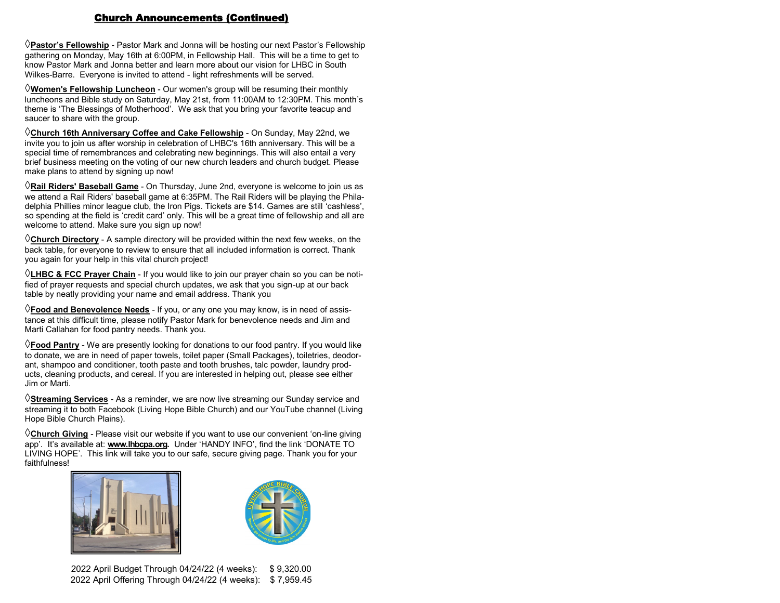#### Church Announcements (Continued)

**Pastor's Fellowship** - Pastor Mark and Jonna will be hosting our next Pastor's Fellowship gathering on Monday, May 16th at 6:00PM, in Fellowship Hall. This will be a time to get to know Pastor Mark and Jonna better and learn more about our vision for LHBC in South Wilkes-Barre. Everyone is invited to attend - light refreshments will be served.

**Women's Fellowship Luncheon** - Our women's group will be resuming their monthly luncheons and Bible study on Saturday, May 21st, from 11:00AM to 12:30PM. This month's theme is 'The Blessings of Motherhood'. We ask that you bring your favorite teacup and saucer to share with the group.

**Church 16th Anniversary Coffee and Cake Fellowship** - On Sunday, May 22nd, we invite you to join us after worship in celebration of LHBC's 16th anniversary. This will be a special time of remembrances and celebrating new beginnings. This will also entail a very brief business meeting on the voting of our new church leaders and church budget. Please make plans to attend by signing up now!

**Rail Riders' Baseball Game** - On Thursday, June 2nd, everyone is welcome to join us as we attend a Rail Riders' baseball game at 6:35PM. The Rail Riders will be playing the Philadelphia Phillies minor league club, the Iron Pigs. Tickets are \$14. Games are still 'cashless', so spending at the field is 'credit card' only. This will be a great time of fellowship and all are welcome to attend. Make sure you sign up now!

**Church Directory** - A sample directory will be provided within the next few weeks, on the back table, for everyone to review to ensure that all included information is correct. Thank you again for your help in this vital church project!

**LHBC & FCC Prayer Chain** - If you would like to join our prayer chain so you can be notified of prayer requests and special church updates, we ask that you sign-up at our back table by neatly providing your name and email address. Thank you

**Food and Benevolence Needs** - If you, or any one you may know, is in need of assistance at this difficult time, please notify Pastor Mark for benevolence needs and Jim and Marti Callahan for food pantry needs. Thank you.

**Food Pantry** - We are presently looking for donations to our food pantry. If you would like to donate, we are in need of paper towels, toilet paper (Small Packages), toiletries, deodorant, shampoo and conditioner, tooth paste and tooth brushes, talc powder, laundry products, cleaning products, and cereal. If you are interested in helping out, please see either Jim or Marti.

**Streaming Services** - As a reminder, we are now live streaming our Sunday service and streaming it to both Facebook (Living Hope Bible Church) and our YouTube channel (Living Hope Bible Church Plains).

**Church Giving** - Please visit our website if you want to use our convenient 'on-line giving app'. It's available at: **www.lhbcpa.org.** Under 'HANDY INFO', find the link 'DONATE TO LIVING HOPE'. This link will take you to our safe, secure giving page. Thank you for your faithfulness!



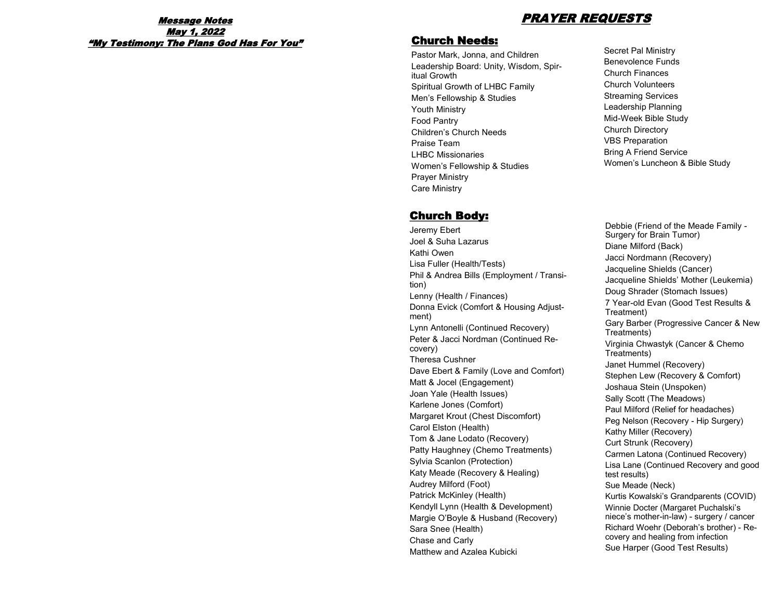# Message Notes PRAYER REQUESTS

# May 1, 2022 "My Testimony: The Plans God Has For You"

### Church Needs:

Pastor Mark, Jonna, and Children Leadership Board: Unity, Wisdom, Spiritual Growth Spiritual Growth of LHBC Family Men's Fellowship & Studies Youth Ministry Food Pantry Children's Church Needs Praise Team LHBC Missionaries Women's Fellowship & Studies Prayer Ministry Care Ministry

# Church Body:

Jeremy Ebert Joel & Suha Lazarus Kathi Owen Lisa Fuller (Health/Tests) Phil & Andrea Bills (Employment / Transition) Lenny (Health / Finances) Donna Evick (Comfort & Housing Adjustment) Lynn Antonelli (Continued Recovery) Peter & Jacci Nordman (Continued Recovery) Theresa Cushner Dave Ebert & Family (Love and Comfort) Matt & Jocel (Engagement) Joan Yale (Health Issues) Karlene Jones (Comfort) Margaret Krout (Chest Discomfort) Carol Elston (Health) Tom & Jane Lodato (Recovery) Patty Haughney (Chemo Treatments) Sylvia Scanlon (Protection) Katy Meade (Recovery & Healing) Audrey Milford (Foot) Patrick McKinley (Health) Kendyll Lynn (Health & Development) Margie O'Boyle & Husband (Recovery) Sara Snee (Health) Chase and Carly Matthew and Azalea Kubicki

Secret Pal Ministry Benevolence Funds Church Finances Church Volunteers Streaming Services Leadership Planning Mid-Week Bible Study Church Directory VBS Preparation Bring A Friend Service Women's Luncheon & Bible Study

Debbie (Friend of the Meade Family - Surgery for Brain Tumor) Diane Milford (Back) Jacci Nordmann (Recovery) Jacqueline Shields (Cancer) Jacqueline Shields' Mother (Leukemia) Doug Shrader (Stomach Issues) 7 Year-old Evan (Good Test Results & Treatment) Gary Barber (Progressive Cancer & New Treatments) Virginia Chwastyk (Cancer & Chemo Treatments) Janet Hummel (Recovery) Stephen Lew (Recovery & Comfort) Joshaua Stein (Unspoken) Sally Scott (The Meadows) Paul Milford (Relief for headaches) Peg Nelson (Recovery - Hip Surgery) Kathy Miller (Recovery) Curt Strunk (Recovery) Carmen Latona (Continued Recovery) Lisa Lane (Continued Recovery and good test results) Sue Meade (Neck) Kurtis Kowalski's Grandparents (COVID) Winnie Docter (Margaret Puchalski's niece's mother-in-law) - surgery / cancer Richard Woehr (Deborah's brother) - Recovery and healing from infection Sue Harper (Good Test Results)